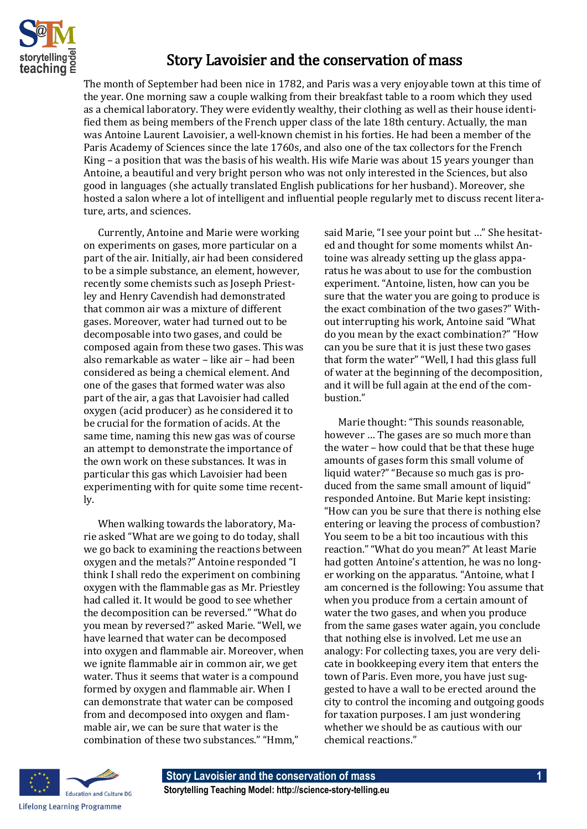

## Story Lavoisier and the conservation of mass

The month of September had been nice in 1782, and Paris was a very enjoyable town at this time of the year. One morning saw a couple walking from their breakfast table to a room which they used as a chemical laboratory. They were evidently wealthy, their clothing as well as their house identified them as being members of the French upper class of the late 18th century. Actually, the man was Antoine Laurent Lavoisier, a well-known chemist in his forties. He had been a member of the Paris Academy of Sciences since the late 1760s, and also one of the tax collectors for the French King – a position that was the basis of his wealth. His wife Marie was about 15 years younger than Antoine, a beautiful and very bright person who was not only interested in the Sciences, but also good in languages (she actually translated English publications for her husband). Moreover, she hosted a salon where a lot of intelligent and influential people regularly met to discuss recent literature, arts, and sciences.

Currently, Antoine and Marie were working on experiments on gases, more particular on a part of the air. Initially, air had been considered to be a simple substance, an element, however, recently some chemists such as Joseph Priestley and Henry Cavendish had demonstrated that common air was a mixture of different gases. Moreover, water had turned out to be decomposable into two gases, and could be composed again from these two gases. This was also remarkable as water – like air – had been considered as being a chemical element. And one of the gases that formed water was also part of the air, a gas that Lavoisier had called oxygen (acid producer) as he considered it to be crucial for the formation of acids. At the same time, naming this new gas was of course an attempt to demonstrate the importance of the own work on these substances. It was in particular this gas which Lavoisier had been experimenting with for quite some time recently.

When walking towards the laboratory, Marie asked "What are we going to do today, shall we go back to examining the reactions between oxygen and the metals?" Antoine responded "I think I shall redo the experiment on combining oxygen with the flammable gas as Mr. Priestley had called it. It would be good to see whether the decomposition can be reversed." "What do you mean by reversed?" asked Marie. "Well, we have learned that water can be decomposed into oxygen and flammable air. Moreover, when we ignite flammable air in common air, we get water. Thus it seems that water is a compound formed by oxygen and flammable air. When I can demonstrate that water can be composed from and decomposed into oxygen and flammable air, we can be sure that water is the combination of these two substances." "Hmm,"

said Marie, "I see your point but …" She hesitated and thought for some moments whilst Antoine was already setting up the glass apparatus he was about to use for the combustion experiment. "Antoine, listen, how can you be sure that the water you are going to produce is the exact combination of the two gases?" Without interrupting his work, Antoine said "What do you mean by the exact combination?" "How can you be sure that it is just these two gases that form the water" "Well, I had this glass full of water at the beginning of the decomposition, and it will be full again at the end of the combustion."

Marie thought: "This sounds reasonable, however … The gases are so much more than the water – how could that be that these huge amounts of gases form this small volume of liquid water?" "Because so much gas is produced from the same small amount of liquid" responded Antoine. But Marie kept insisting: "How can you be sure that there is nothing else entering or leaving the process of combustion? You seem to be a bit too incautious with this reaction." "What do you mean?" At least Marie had gotten Antoine's attention, he was no longer working on the apparatus. "Antoine, what I am concerned is the following: You assume that when you produce from a certain amount of water the two gases, and when you produce from the same gases water again, you conclude that nothing else is involved. Let me use an analogy: For collecting taxes, you are very delicate in bookkeeping every item that enters the town of Paris. Even more, you have just suggested to have a wall to be erected around the city to control the incoming and outgoing goods for taxation purposes. I am just wondering whether we should be as cautious with our chemical reactions."